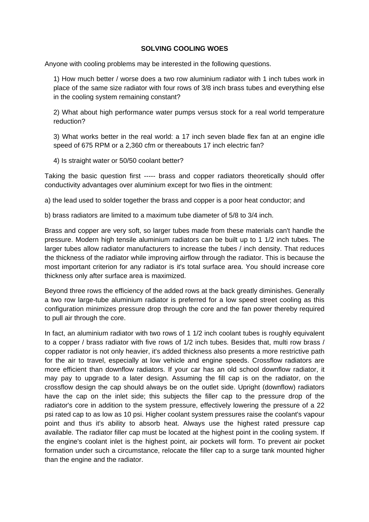## **SOLVING COOLING WOES**

Anyone with cooling problems may be interested in the following questions.

1) How much better / worse does a two row aluminium radiator with 1 inch tubes work in place of the same size radiator with four rows of 3/8 inch brass tubes and everything else in the cooling system remaining constant?

2) What about high performance water pumps versus stock for a real world temperature reduction?

3) What works better in the real world: a 17 inch seven blade flex fan at an engine idle speed of 675 RPM or a 2,360 cfm or thereabouts 17 inch electric fan?

4) Is straight water or 50/50 coolant better?

Taking the basic question first ----- brass and copper radiators theoretically should offer conductivity advantages over aluminium except for two flies in the ointment:

a) the lead used to solder together the brass and copper is a poor heat conductor; and

b) brass radiators are limited to a maximum tube diameter of 5/8 to 3/4 inch.

Brass and copper are very soft, so larger tubes made from these materials can't handle the pressure. Modern high tensile aluminium radiators can be built up to 1 1/2 inch tubes. The larger tubes allow radiator manufacturers to increase the tubes / inch density. That reduces the thickness of the radiator while improving airflow through the radiator. This is because the most important criterion for any radiator is it's total surface area. You should increase core thickness only after surface area is maximized.

Beyond three rows the efficiency of the added rows at the back greatly diminishes. Generally a two row large-tube aluminium radiator is preferred for a low speed street cooling as this configuration minimizes pressure drop through the core and the fan power thereby required to pull air through the core.

In fact, an aluminium radiator with two rows of 1 1/2 inch coolant tubes is roughly equivalent to a copper / brass radiator with five rows of 1/2 inch tubes. Besides that, multi row brass / copper radiator is not only heavier, it's added thickness also presents a more restrictive path for the air to travel, especially at low vehicle and engine speeds. Crossflow radiators are more efficient than downflow radiators. If your car has an old school downflow radiator, it may pay to upgrade to a later design. Assuming the fill cap is on the radiator, on the crossflow design the cap should always be on the outlet side. Upright (downflow) radiators have the cap on the inlet side; this subjects the filler cap to the pressure drop of the radiator's core in addition to the system pressure, effectively lowering the pressure of a 22 psi rated cap to as low as 10 psi. Higher coolant system pressures raise the coolant's vapour point and thus it's ability to absorb heat. Always use the highest rated pressure cap available. The radiator filler cap must be located at the highest point in the cooling system. If the engine's coolant inlet is the highest point, air pockets will form. To prevent air pocket formation under such a circumstance, relocate the filler cap to a surge tank mounted higher than the engine and the radiator.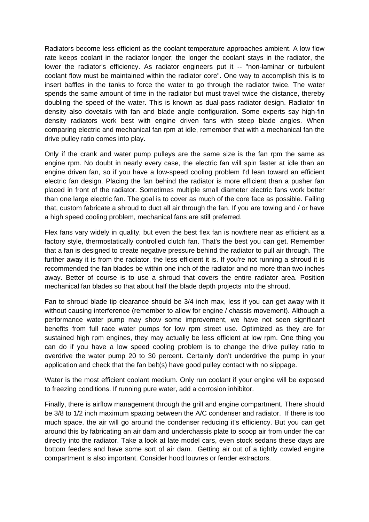Radiators become less efficient as the coolant temperature approaches ambient. A low flow rate keeps coolant in the radiator longer; the longer the coolant stays in the radiator, the lower the radiator's efficiency. As radiator engineers put it -- "non-laminar or turbulent coolant flow must be maintained within the radiator core". One way to accomplish this is to insert baffles in the tanks to force the water to go through the radiator twice. The water spends the same amount of time in the radiator but must travel twice the distance, thereby doubling the speed of the water. This is known as dual-pass radiator design. Radiator fin density also dovetails with fan and blade angle configuration. Some experts say high-fin density radiators work best with engine driven fans with steep blade angles. When comparing electric and mechanical fan rpm at idle, remember that with a mechanical fan the drive pulley ratio comes into play.

Only if the crank and water pump pulleys are the same size is the fan rpm the same as engine rpm. No doubt in nearly every case, the electric fan will spin faster at idle than an engine driven fan, so if you have a low-speed cooling problem I'd lean toward an efficient electric fan design. Placing the fan behind the radiator is more efficient than a pusher fan placed in front of the radiator. Sometimes multiple small diameter electric fans work better than one large electric fan. The goal is to cover as much of the core face as possible. Failing that, custom fabricate a shroud to duct all air through the fan. If you are towing and / or have a high speed cooling problem, mechanical fans are still preferred.

Flex fans vary widely in quality, but even the best flex fan is nowhere near as efficient as a factory style, thermostatically controlled clutch fan. That's the best you can get. Remember that a fan is designed to create negative pressure behind the radiator to pull air through. The further away it is from the radiator, the less efficient it is. If you're not running a shroud it is recommended the fan blades be within one inch of the radiator and no more than two inches away. Better of course is to use a shroud that covers the entire radiator area. Position mechanical fan blades so that about half the blade depth projects into the shroud.

Fan to shroud blade tip clearance should be 3/4 inch max, less if you can get away with it without causing interference (remember to allow for engine / chassis movement). Although a performance water pump may show some improvement, we have not seen significant benefits from full race water pumps for low rpm street use. Optimized as they are for sustained high rpm engines, they may actually be less efficient at low rpm. One thing you can do if you have a low speed cooling problem is to change the drive pulley ratio to overdrive the water pump 20 to 30 percent. Certainly don't underdrive the pump in your application and check that the fan belt(s) have good pulley contact with no slippage.

Water is the most efficient coolant medium. Only run coolant if your engine will be exposed to freezing conditions. If running pure water, add a corrosion inhibitor.

Finally, there is airflow management through the grill and engine compartment. There should be 3/8 to 1/2 inch maximum spacing between the A/C condenser and radiator. If there is too much space, the air will go around the condenser reducing it's efficiency. But you can get around this by fabricating an air dam and underchassis plate to scoop air from under the car directly into the radiator. Take a look at late model cars, even stock sedans these days are bottom feeders and have some sort of air dam. Getting air out of a tightly cowled engine compartment is also important. Consider hood louvres or fender extractors.